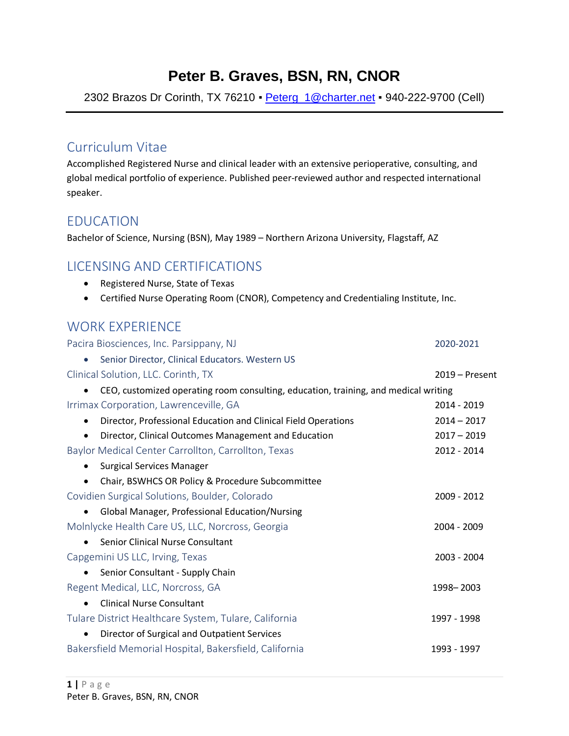# **Peter B. Graves, BSN, RN, CNOR**

2302 Brazos Dr Corinth, TX 76210 • Peterg\_1@charter.net • 940-222-9700 (Cell)

### Curriculum Vitae

Accomplished Registered Nurse and clinical leader with an extensive perioperative, consulting, and global medical portfolio of experience. Published peer-reviewed author and respected international speaker.

### EDUCATION

Bachelor of Science, Nursing (BSN), May 1989 – Northern Arizona University, Flagstaff, AZ

### LICENSING AND CERTIFICATIONS

- Registered Nurse, State of Texas
- Certified Nurse Operating Room (CNOR), Competency and Credentialing Institute, Inc.

# WORK EXPERIENCE<br>Pasira Piasaispasse II: 5 D

| Pacira Biosciences, Inc. Parsippany, NJ                                             | 2020-2021        |
|-------------------------------------------------------------------------------------|------------------|
| Senior Director, Clinical Educators. Western US                                     |                  |
| Clinical Solution, LLC. Corinth, TX                                                 | $2019 -$ Present |
| CEO, customized operating room consulting, education, training, and medical writing |                  |
| Irrimax Corporation, Lawrenceville, GA                                              | 2014 - 2019      |
| Director, Professional Education and Clinical Field Operations<br>$\bullet$         | $2014 - 2017$    |
| Director, Clinical Outcomes Management and Education<br>$\bullet$                   | $2017 - 2019$    |
| Baylor Medical Center Carrollton, Carrollton, Texas                                 | 2012 - 2014      |
| <b>Surgical Services Manager</b>                                                    |                  |
| Chair, BSWHCS OR Policy & Procedure Subcommittee                                    |                  |
| Covidien Surgical Solutions, Boulder, Colorado                                      | 2009 - 2012      |
| Global Manager, Professional Education/Nursing<br>$\bullet$                         |                  |
| Molnlycke Health Care US, LLC, Norcross, Georgia                                    | 2004 - 2009      |
| Senior Clinical Nurse Consultant                                                    |                  |
| Capgemini US LLC, Irving, Texas                                                     | 2003 - 2004      |
| Senior Consultant - Supply Chain                                                    |                  |
| Regent Medical, LLC, Norcross, GA                                                   | 1998-2003        |
| <b>Clinical Nurse Consultant</b>                                                    |                  |
| Tulare District Healthcare System, Tulare, California                               | 1997 - 1998      |
| Director of Surgical and Outpatient Services                                        |                  |
| Bakersfield Memorial Hospital, Bakersfield, California                              | 1993 - 1997      |
|                                                                                     |                  |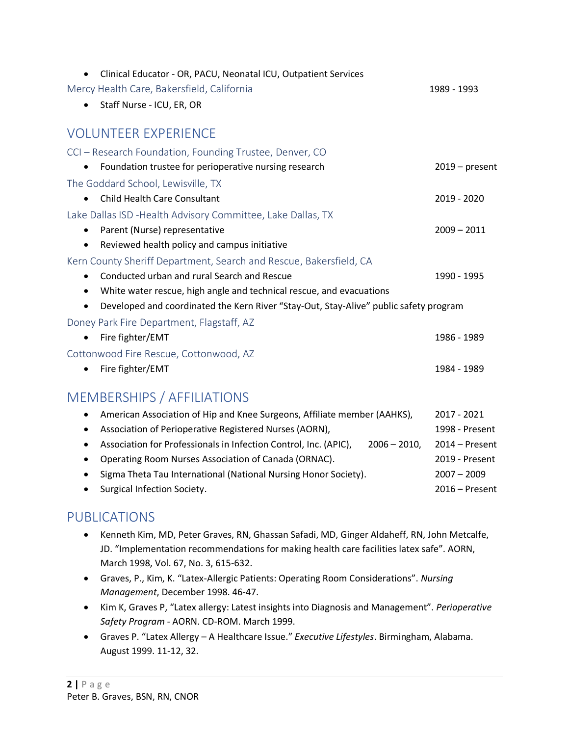| Clinical Educator - OR, PACU, Neonatal ICU, Outpatient Services                       |                  |
|---------------------------------------------------------------------------------------|------------------|
| Mercy Health Care, Bakersfield, California                                            | 1989 - 1993      |
| Staff Nurse - ICU, ER, OR                                                             |                  |
| <b>VOLUNTEER EXPERIENCE</b>                                                           |                  |
| CCI – Research Foundation, Founding Trustee, Denver, CO                               |                  |
| Foundation trustee for perioperative nursing research                                 | $2019$ – present |
| The Goddard School, Lewisville, TX                                                    |                  |
| <b>Child Health Care Consultant</b>                                                   | 2019 - 2020      |
| Lake Dallas ISD - Health Advisory Committee, Lake Dallas, TX                          |                  |
| Parent (Nurse) representative                                                         | $2009 - 2011$    |
| Reviewed health policy and campus initiative<br>$\bullet$                             |                  |
| Kern County Sheriff Department, Search and Rescue, Bakersfield, CA                    |                  |
| Conducted urban and rural Search and Rescue                                           | 1990 - 1995      |
| White water rescue, high angle and technical rescue, and evacuations<br>٠             |                  |
| Developed and coordinated the Kern River "Stay-Out, Stay-Alive" public safety program |                  |
| Doney Park Fire Department, Flagstaff, AZ                                             |                  |
| Fire fighter/EMT                                                                      | 1986 - 1989      |
| Cottonwood Fire Rescue, Cottonwood, AZ                                                |                  |
| Fire fighter/EMT                                                                      | 1984 - 1989      |
| <b>MEMBERSHIPS / AFFILIATIONS</b>                                                     |                  |
| American Association of Hip and Knee Surgeons, Affiliate member (AAHKS),              | 2017 - 2021      |

- Association of Perioperative Registered Nurses (AORN), 1998 Present
- Association for Professionals in Infection Control, Inc. (APIC), 2006 2010, 2014 Present
- Operating Room Nurses Association of Canada (ORNAC). 2019 Present
- Sigma Theta Tau International (National Nursing Honor Society). 2007 2009
- Surgical Infection Society. 2016 Present

## PUBLICATIONS

- Kenneth Kim, MD, Peter Graves, RN, Ghassan Safadi, MD, Ginger Aldaheff, RN, John Metcalfe, JD. "Implementation recommendations for making health care facilities latex safe". AORN, March 1998, Vol. 67, No. 3, 615-632.
- Graves, P., Kim, K. "Latex-Allergic Patients: Operating Room Considerations". *Nursing Management*, December 1998. 46-47.
- Kim K, Graves P, "Latex allergy: Latest insights into Diagnosis and Management". *Perioperative Safety Program* - AORN. CD-ROM. March 1999.
- Graves P. "Latex Allergy A Healthcare Issue." *Executive Lifestyles*. Birmingham, Alabama. August 1999. 11-12, 32.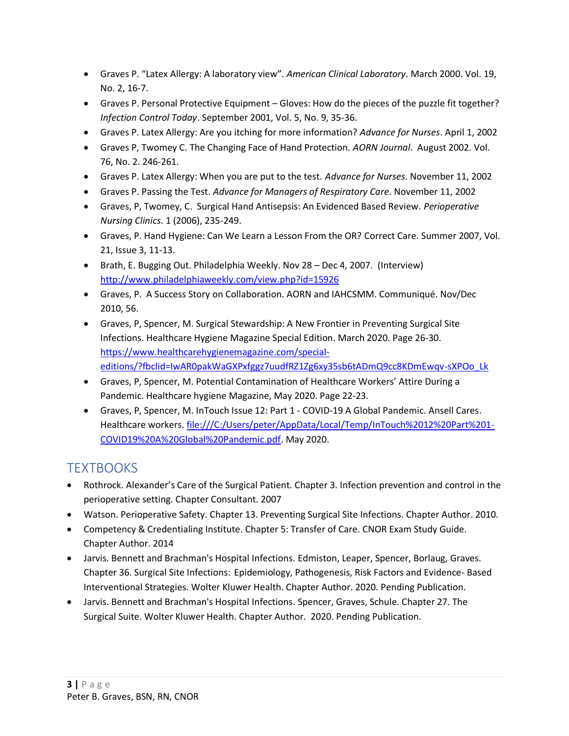- Graves P. "Latex Allergy: A laboratory view". *American Clinical Laboratory*. March 2000. Vol. 19, No. 2, 16-7.
- Graves P. Personal Protective Equipment Gloves: How do the pieces of the puzzle fit together? *Infection Control Today*. September 2001, Vol. 5, No. 9, 35-36.
- Graves P. Latex Allergy: Are you itching for more information? *Advance for Nurses*. April 1, 2002
- Graves P, Twomey C. The Changing Face of Hand Protection. *AORN Journal*. August 2002. Vol. 76, No. 2. 246-261.
- Graves P. Latex Allergy: When you are put to the test. *Advance for Nurses*. November 11, 2002
- Graves P. Passing the Test. *Advance for Managers of Respiratory Care*. November 11, 2002
- Graves, P, Twomey, C. Surgical Hand Antisepsis: An Evidenced Based Review. *Perioperative Nursing Clinics*. 1 (2006), 235-249.
- Graves, P. Hand Hygiene: Can We Learn a Lesson From the OR? Correct Care. Summer 2007, Vol. 21, Issue 3, 11-13.
- Brath, E. Bugging Out. Philadelphia Weekly. Nov 28 Dec 4, 2007. (Interview) http://www.philadelphiaweekly.com/view.php?id=15926
- Graves, P. A Success Story on Collaboration. AORN and IAHCSMM. Communiqué. Nov/Dec 2010, 56.
- Graves, P, Spencer, M. Surgical Stewardship: A New Frontier in Preventing Surgical Site Infections. Healthcare Hygiene Magazine Special Edition. March 2020. Page 26-30. https://www.healthcarehygienemagazine.com/specialeditions/?fbclid=IwAR0pakWaGXPxfggz7uudfRZ1Zg6xy35sb6tADmQ9cc8KDmEwqv-sXPOo\_Lk
- Graves, P, Spencer, M. Potential Contamination of Healthcare Workers' Attire During a Pandemic. Healthcare hygiene Magazine, May 2020. Page 22-23.
- Graves, P, Spencer, M. InTouch Issue 12: Part 1 COVID-19 A Global Pandemic. Ansell Cares. Healthcare workers. file:///C:/Users/peter/AppData/Local/Temp/InTouch%2012%20Part%201- COVID19%20A%20Global%20Pandemic.pdf. May 2020.

## **TEXTROOKS**

- Rothrock. Alexander's Care of the Surgical Patient. Chapter 3. Infection prevention and control in the perioperative setting. Chapter Consultant. 2007
- Watson. Perioperative Safety. Chapter 13. Preventing Surgical Site Infections. Chapter Author. 2010.
- Competency & Credentialing Institute. Chapter 5: Transfer of Care. CNOR Exam Study Guide. Chapter Author. 2014
- Jarvis. Bennett and Brachman's Hospital Infections. Edmiston, Leaper, Spencer, Borlaug, Graves. Chapter 36. Surgical Site Infections: Epidemiology, Pathogenesis, Risk Factors and Evidence- Based Interventional Strategies. Wolter Kluwer Health. Chapter Author. 2020. Pending Publication.
- Jarvis. Bennett and Brachman's Hospital Infections. Spencer, Graves, Schule. Chapter 27. The Surgical Suite. Wolter Kluwer Health. Chapter Author. 2020. Pending Publication.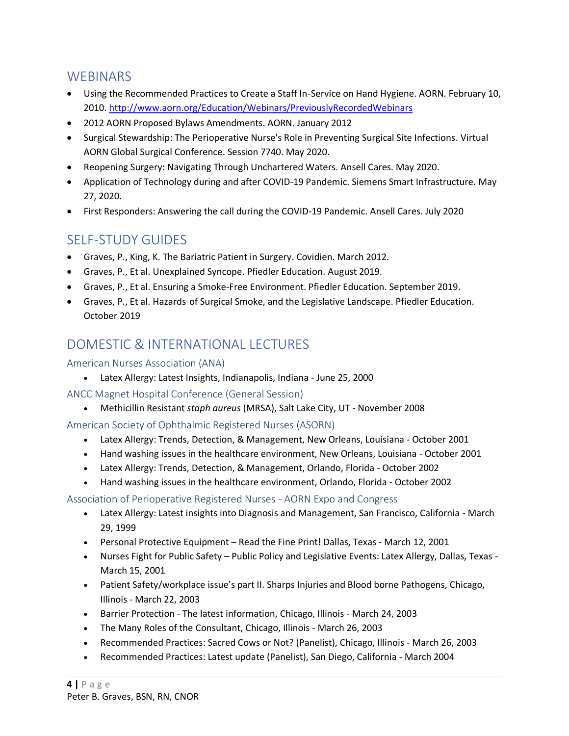### **WEBINARS**

- Using the Recommended Practices to Create a Staff In-Service on Hand Hygiene. AORN. February 10, 2010. http://www.aorn.org/Education/Webinars/PreviouslyRecordedWebinars
- 2012 AORN Proposed Bylaws Amendments. AORN. January 2012
- Surgical Stewardship: The Perioperative Nurse's Role in Preventing Surgical Site Infections. Virtual AORN Global Surgical Conference. Session 7740. May 2020.
- Reopening Surgery: Navigating Through Unchartered Waters. Ansell Cares. May 2020.
- Application of Technology during and after COVID-19 Pandemic. Siemens Smart Infrastructure. May 27, 2020.
- First Responders: Answering the call during the COVID-19 Pandemic. Ansell Cares. July 2020

# SELF-STUDY GUIDES

- Graves, P., King, K. The Bariatric Patient in Surgery. Covidien. March 2012.
- Graves, P., Et al. Unexplained Syncope. Pfiedler Education. August 2019.
- Graves, P., Et al. Ensuring a Smoke-Free Environment. Pfiedler Education. September 2019.
- Graves, P., Et al. Hazards of Surgical Smoke, and the Legislative Landscape. Pfiedler Education. October 2019

# DOMESTIC & INTERNATIONAL LECTURES

#### American Nurses Association (ANA)

- Latex Allergy: Latest Insights, Indianapolis, Indiana June 25, 2000
- ANCC Magnet Hospital Conference (General Session)
	- Methicillin Resistant *staph aureus* (MRSA), Salt Lake City, UT November 2008

American Society of Ophthalmic Registered Nurses (ASORN)

- Latex Allergy: Trends, Detection, & Management, New Orleans, Louisiana October 2001
- Hand washing issues in the healthcare environment, New Orleans, Louisiana October 2001
- Latex Allergy: Trends, Detection, & Management, Orlando, Florida October 2002
- Hand washing issues in the healthcare environment, Orlando, Florida October 2002

Association of Perioperative Registered Nurses - AORN Expo and Congress

- Latex Allergy: Latest insights into Diagnosis and Management, San Francisco, California March 29, 1999
- Personal Protective Equipment Read the Fine Print! Dallas, Texas March 12, 2001
- Nurses Fight for Public Safety Public Policy and Legislative Events: Latex Allergy, Dallas, Texas March 15, 2001
- Patient Safety/workplace issue's part II. Sharps Injuries and Blood borne Pathogens, Chicago, Illinois - March 22, 2003
- Barrier Protection The latest information, Chicago, Illinois March 24, 2003
- The Many Roles of the Consultant, Chicago, Illinois March 26, 2003
- Recommended Practices: Sacred Cows or Not? (Panelist), Chicago, Illinois March 26, 2003
- Recommended Practices: Latest update (Panelist), San Diego, California March 2004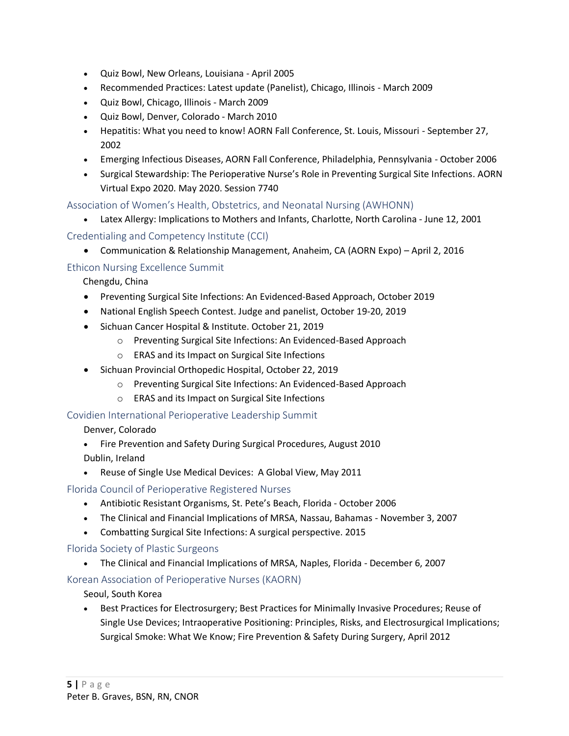- Quiz Bowl, New Orleans, Louisiana April 2005
- Recommended Practices: Latest update (Panelist), Chicago, Illinois March 2009
- Quiz Bowl, Chicago, Illinois March 2009
- Quiz Bowl, Denver, Colorado March 2010
- Hepatitis: What you need to know! AORN Fall Conference, St. Louis, Missouri September 27, 2002
- Emerging Infectious Diseases, AORN Fall Conference, Philadelphia, Pennsylvania October 2006
- Surgical Stewardship: The Perioperative Nurse's Role in Preventing Surgical Site Infections. AORN Virtual Expo 2020. May 2020. Session 7740

Association of Women's Health, Obstetrics, and Neonatal Nursing (AWHONN)

• Latex Allergy: Implications to Mothers and Infants, Charlotte, North Carolina - June 12, 2001

#### Credentialing and Competency Institute (CCI)

• Communication & Relationship Management, Anaheim, CA (AORN Expo) – April 2, 2016

#### Ethicon Nursing Excellence Summit

Chengdu, China

- Preventing Surgical Site Infections: An Evidenced-Based Approach, October 2019
- National English Speech Contest. Judge and panelist, October 19-20, 2019
- Sichuan Cancer Hospital & Institute. October 21, 2019
	- o Preventing Surgical Site Infections: An Evidenced-Based Approach
	- o ERAS and its Impact on Surgical Site Infections
- Sichuan Provincial Orthopedic Hospital, October 22, 2019
	- o Preventing Surgical Site Infections: An Evidenced-Based Approach
	- o ERAS and its Impact on Surgical Site Infections

#### Covidien International Perioperative Leadership Summit

#### Denver, Colorado

- Fire Prevention and Safety During Surgical Procedures, August 2010
- Dublin, Ireland
- Reuse of Single Use Medical Devices: A Global View, May 2011

#### Florida Council of Perioperative Registered Nurses

- Antibiotic Resistant Organisms, St. Pete's Beach, Florida October 2006
- The Clinical and Financial Implications of MRSA, Nassau, Bahamas November 3, 2007
- Combatting Surgical Site Infections: A surgical perspective. 2015

#### Florida Society of Plastic Surgeons

• The Clinical and Financial Implications of MRSA, Naples, Florida - December 6, 2007

#### Korean Association of Perioperative Nurses (KAORN)

Seoul, South Korea

• Best Practices for Electrosurgery; Best Practices for Minimally Invasive Procedures; Reuse of Single Use Devices; Intraoperative Positioning: Principles, Risks, and Electrosurgical Implications; Surgical Smoke: What We Know; Fire Prevention & Safety During Surgery, April 2012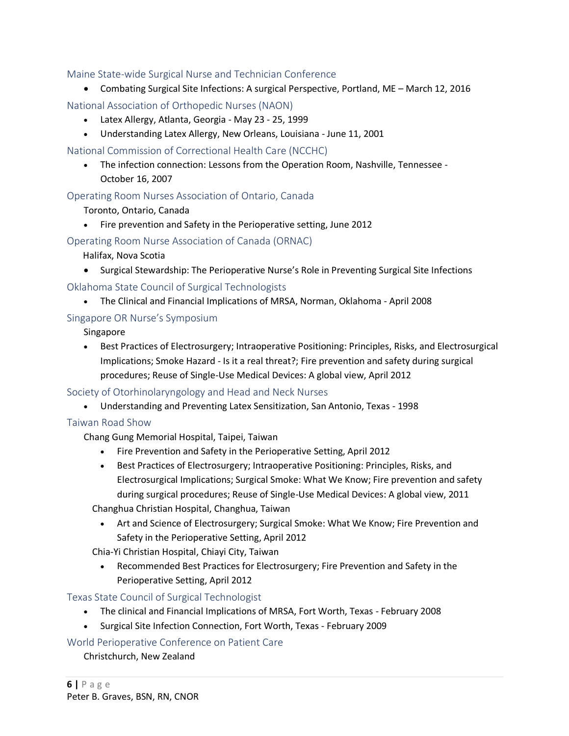#### Maine State-wide Surgical Nurse and Technician Conference

• Combating Surgical Site Infections: A surgical Perspective, Portland, ME – March 12, 2016

National Association of Orthopedic Nurses (NAON)

- Latex Allergy, Atlanta, Georgia May 23 25, 1999
- Understanding Latex Allergy, New Orleans, Louisiana June 11, 2001

National Commission of Correctional Health Care (NCCHC)

• The infection connection: Lessons from the Operation Room, Nashville, Tennessee - October 16, 2007

Operating Room Nurses Association of Ontario, Canada

Toronto, Ontario, Canada

• Fire prevention and Safety in the Perioperative setting, June 2012

Operating Room Nurse Association of Canada (ORNAC)

Halifax, Nova Scotia

• Surgical Stewardship: The Perioperative Nurse's Role in Preventing Surgical Site Infections

Oklahoma State Council of Surgical Technologists

• The Clinical and Financial Implications of MRSA, Norman, Oklahoma - April 2008

#### Singapore OR Nurse's Symposium

Singapore

• Best Practices of Electrosurgery; Intraoperative Positioning: Principles, Risks, and Electrosurgical Implications; Smoke Hazard - Is it a real threat?; Fire prevention and safety during surgical procedures; Reuse of Single-Use Medical Devices: A global view, April 2012

Society of Otorhinolaryngology and Head and Neck Nurses

• Understanding and Preventing Latex Sensitization, San Antonio, Texas - 1998

#### Taiwan Road Show

Chang Gung Memorial Hospital, Taipei, Taiwan

- Fire Prevention and Safety in the Perioperative Setting, April 2012
- Best Practices of Electrosurgery; Intraoperative Positioning: Principles, Risks, and Electrosurgical Implications; Surgical Smoke: What We Know; Fire prevention and safety during surgical procedures; Reuse of Single-Use Medical Devices: A global view, 2011

Changhua Christian Hospital, Changhua, Taiwan

• Art and Science of Electrosurgery; Surgical Smoke: What We Know; Fire Prevention and Safety in the Perioperative Setting, April 2012

Chia-Yi Christian Hospital, Chiayi City, Taiwan

• Recommended Best Practices for Electrosurgery; Fire Prevention and Safety in the Perioperative Setting, April 2012

Texas State Council of Surgical Technologist

- The clinical and Financial Implications of MRSA, Fort Worth, Texas February 2008
- Surgical Site Infection Connection, Fort Worth, Texas February 2009

World Perioperative Conference on Patient Care

Christchurch, New Zealand